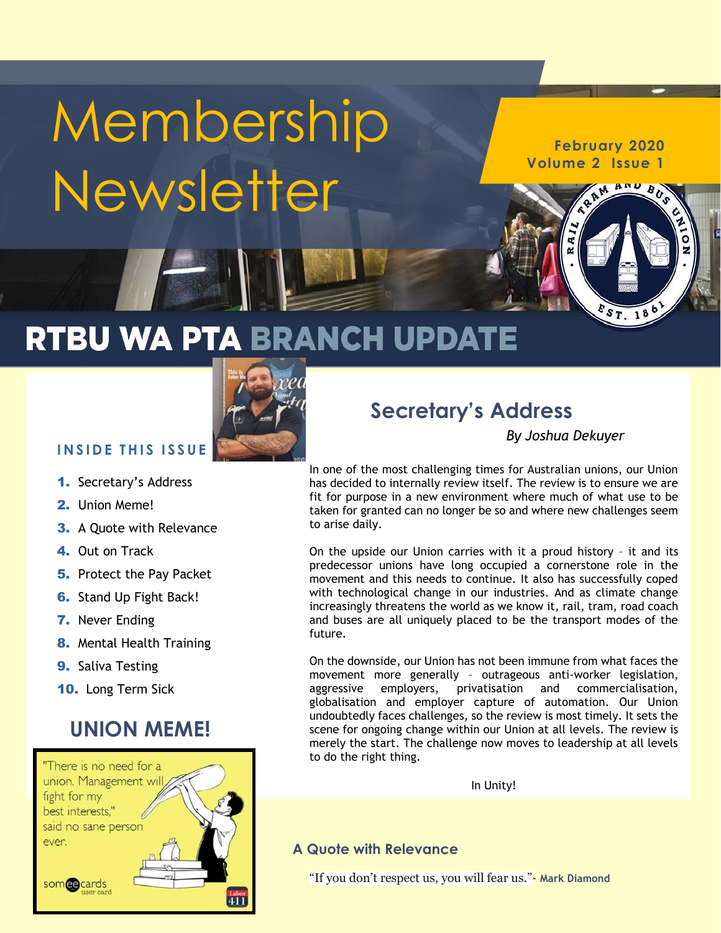# Membership **Newsletter**

**February 2020 Volume 2 Issue 1**

BUS

 $57.186$ 

# RTBU WA PTA BRANCH UPDATE



#### **I N S I D E T H I S I S S U E**

- 1. Secretary's Address
- 2. Union Meme!
- 3. A Quote with Relevance
- 4. Out on Track
- **5.** Protect the Pay Packet
- **6.** Stand Up Fight Back!
- 7. Never Ending
- 8. Mental Health Training
- **9.** Saliva Testing
- 10. Long Term Sick

#### **UNION MEME!**



### **Secretary's Address**

*By Joshua Dekuyer*

In one of the most challenging times for Australian unions, our Union has decided to internally review itself. The review is to ensure we are fit for purpose in a new environment where much of what use to be taken for granted can no longer be so and where new challenges seem to arise daily.

On the upside our Union carries with it a proud history – it and its predecessor unions have long occupied a cornerstone role in the movement and this needs to continue. It also has successfully coped with technological change in our industries. And as climate change increasingly threatens the world as we know it, rail, tram, road coach and buses are all uniquely placed to be the transport modes of the future.

On the downside, our Union has not been immune from what faces the movement more generally – outrageous anti-worker legislation, aggressive employers, privatisation and commercialisation, globalisation and employer capture of automation. Our Union undoubtedly faces challenges, so the review is most timely. It sets the scene for ongoing change within our Union at all levels. The review is merely the start. The challenge now moves to leadership at all levels to do the right thing.

In Unity!

#### **A Quote with Relevance**

"If you don't respect us, you will fear us."- **Mark Diamond**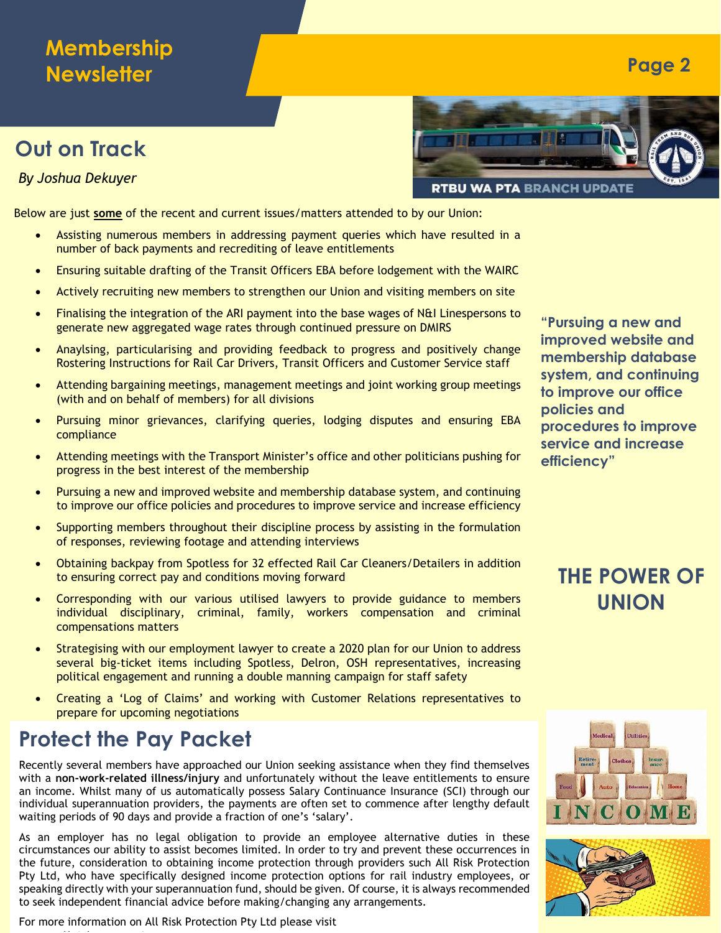#### **Membership Newsletter**

#### **Out on Track**

*By Joshua Dekuyer*

Below are just **some** of the recent and current issues/matters attended to by our Union:

- Assisting numerous members in addressing payment queries which have resulted in a number of back payments and recrediting of leave entitlements
- Ensuring suitable drafting of the Transit Officers EBA before lodgement with the WAIRC
- Actively recruiting new members to strengthen our Union and visiting members on site
- Finalising the integration of the ARI payment into the base wages of N&I Linespersons to generate new aggregated wage rates through continued pressure on DMIRS
- Anaylsing, particularising and providing feedback to progress and positively change Rostering Instructions for Rail Car Drivers, Transit Officers and Customer Service staff
- Attending bargaining meetings, management meetings and joint working group meetings (with and on behalf of members) for all divisions
- Pursuing minor grievances, clarifying queries, lodging disputes and ensuring EBA compliance
- Attending meetings with the Transport Minister's office and other politicians pushing for progress in the best interest of the membership
- Pursuing a new and improved website and membership database system, and continuing to improve our office policies and procedures to improve service and increase efficiency
- Supporting members throughout their discipline process by assisting in the formulation of responses, reviewing footage and attending interviews
- Obtaining backpay from Spotless for 32 effected Rail Car Cleaners/Detailers in addition to ensuring correct pay and conditions moving forward
- Corresponding with our various utilised lawyers to provide guidance to members individual disciplinary, criminal, family, workers compensation and criminal compensations matters
- Strategising with our employment lawyer to create a 2020 plan for our Union to address several big-ticket items including Spotless, Delron, OSH representatives, increasing political engagement and running a double manning campaign for staff safety
- Creating a 'Log of Claims' and working with Customer Relations representatives to prepare for upcoming negotiations

#### **Protect the Pay Packet**

ww.allriskprotection.com.autom.com.autom.com/autom.com/autom.com/autom.com/autom.com/autom.com/autom.com/autom

Recently several members have approached our Union seeking assistance when they find themselves with a **non-work-related illness/injury** and unfortunately without the leave entitlements to ensure an income. Whilst many of us automatically possess Salary Continuance Insurance (SCI) through our individual superannuation providers, the payments are often set to commence after lengthy default waiting periods of 90 days and provide a fraction of one's 'salary'.

As an employer has no legal obligation to provide an employee alternative duties in these circumstances our ability to assist becomes limited. In order to try and prevent these occurrences in the future, consideration to obtaining income protection through providers such All Risk Protection Pty Ltd, who have specifically designed income protection options for rail industry employees, or speaking directly with your superannuation fund, should be given. Of course, it is always recommended to seek independent financial advice before making/changing any arrangements.

For more information on All Risk Protection Pty Ltd please visit



**"Pursuing a new and improved website and membership database system, and continuing to improve our office policies and procedures to improve service and increase efficiency"**

**Page 2**

#### **THE POWER OF UNION**



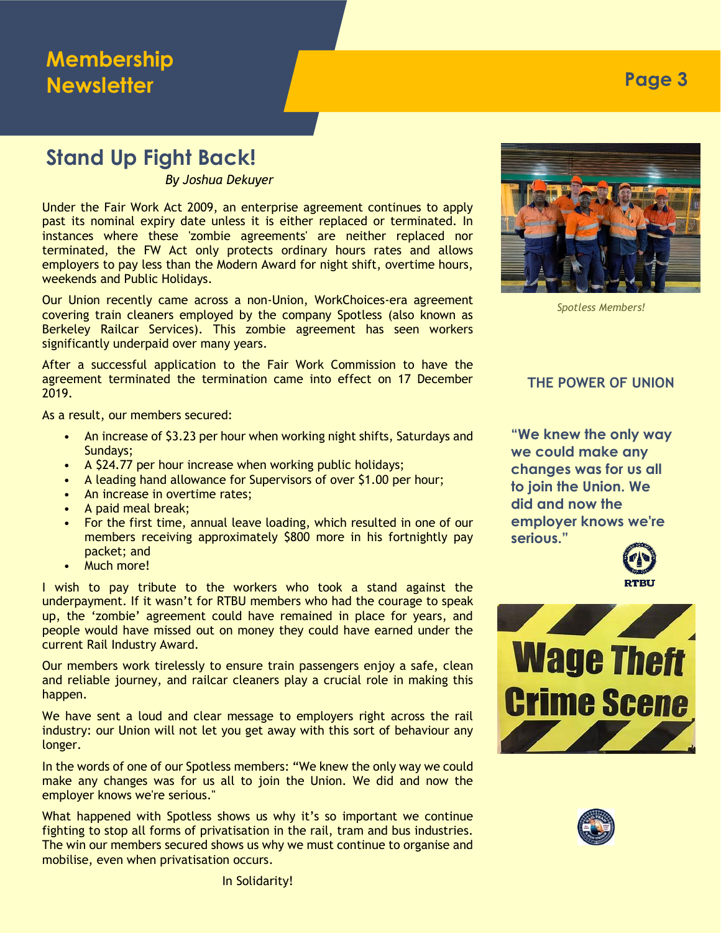#### **Stand Up Fight Back!**

*By Joshua Dekuyer*

Under the Fair Work Act 2009, an enterprise agreement continues to apply past its nominal expiry date unless it is either replaced or terminated. In instances where these 'zombie agreements' are neither replaced nor terminated, the FW Act only protects ordinary hours rates and allows employers to pay less than the Modern Award for night shift, overtime hours, weekends and Public Holidays.

Our Union recently came across a non-Union, WorkChoices-era agreement covering train cleaners employed by the company Spotless (also known as Berkeley Railcar Services). This zombie agreement has seen workers significantly underpaid over many years.

After a successful application to the Fair Work Commission to have the agreement terminated the termination came into effect on 17 December 2019.

As a result, our members secured:

- An increase of \$3.23 per hour when working night shifts, Saturdays and Sundays;
- A \$24.77 per hour increase when working public holidays;
- A leading hand allowance for Supervisors of over \$1.00 per hour;
- An increase in overtime rates:
- A paid meal break;
- For the first time, annual leave loading, which resulted in one of our members receiving approximately \$800 more in his fortnightly pay packet; and
- Much more!

I wish to pay tribute to the workers who took a stand against the underpayment. If it wasn't for RTBU members who had the courage to speak up, the 'zombie' agreement could have remained in place for years, and people would have missed out on money they could have earned under the current Rail Industry Award.

Our members work tirelessly to ensure train passengers enjoy a safe, clean and reliable journey, and railcar cleaners play a crucial role in making this happen.

We have sent a loud and clear message to employers right across the rail industry: our Union will not let you get away with this sort of behaviour any longer.

In the words of one of our Spotless members: "We knew the only way we could make any changes was for us all to join the Union. We did and now the employer knows we're serious."

What happened with Spotless shows us why it's so important we continue fighting to stop all forms of privatisation in the rail, tram and bus industries. The win our members secured shows us why we must continue to organise and mobilise, even when privatisation occurs.



*Spotless Members!*

#### **THE POWER OF UNION**

**"We knew the only way we could make any changes was for us all to join the Union. We did and now the employer knows we're serious."**







In Solidarity!